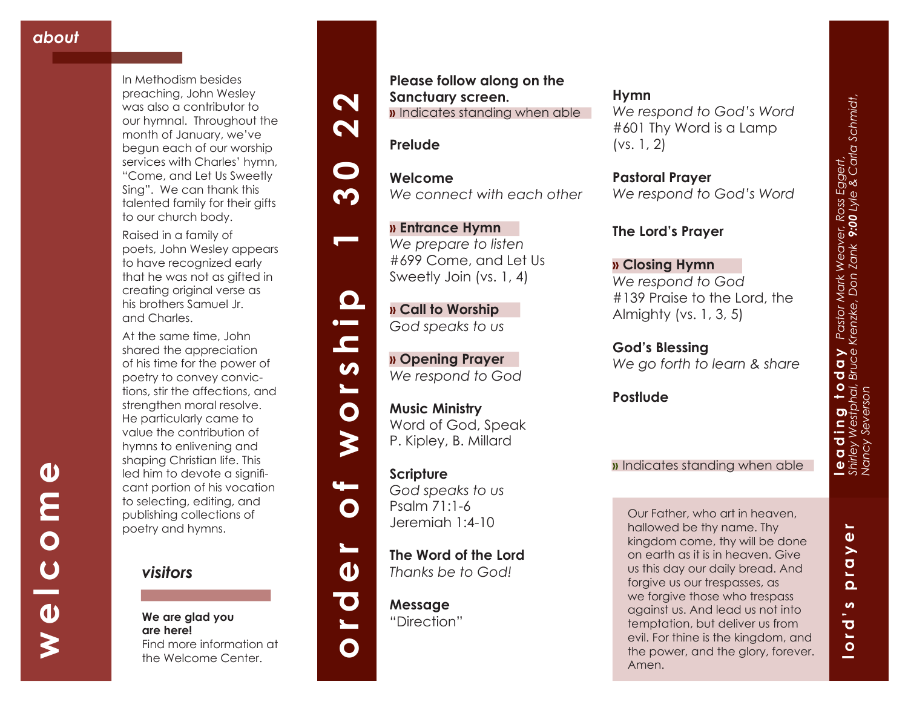**welcome**

 $\overline{C}$ 

 $\overline{\mathbf{0}}$ 

≹

 $\boldsymbol{\omega}$ 

E<br>O N

In Methodism besides preaching, John Wesley was also a contributor to our hymnal. Throughout the month of January, we've begun each of our worship services with Charles' hymn, "Come, and Let Us Sweetly Sing". We can thank this talented family for their gifts to our church body.

Raised in a family of poets, John Wesley appears to have recognized early that he was not as gifted in creating original verse as his brothers Samuel Jr. and Charles.

At the same time, John shared the appreciation of his time for the power of poetry to convey convic tions, stir the affections, and strengthen moral resolve. He particularly came to value the contribution of hymns to enlivening and shaping Christian life. This led him to devote a signifi cant portion of his vocation to selecting, editing, and publishing collections of poetry and hymns.



**We are glad you are here!** Find more information at the Welcome Center.

### **Please follow along on the Sanctuary screen. »** Indicates standing when able

**Prelude**

**Welcome** *We connect with each other*

**» Entrance Hymn**  *We prepare to listen* #699 Come, and Let Us Sweetly Join (vs. 1, 4)

**» Call to Worship**  *God speaks to us*

**» Opening Prayer**  *We respond to God*

**order of worship 1 30 22**

 $\blacksquare$ 

 $\bullet$ 

 $\blacktriangleright$ 

 $\mathbf O$ 

 $\mathbf{\Omega}$ 

 $\bullet$ 

 $\overline{\phantom{0}}$ 

 $\mathbf O$ 

 $\boldsymbol{\omega}$ 

 $\mathbf{\Omega}$  $\bullet$  $\blacksquare$ 

 $\boldsymbol{\mathsf{N}}$ 

 $\boldsymbol{\mathsf{N}}$ 

 $\mathbf\Omega$ 

**M** 

**Music Ministry**  Word of God, Speak P. Kipley, B. Millard

**Scripture** *God speaks to us* Psalm 71:1-6 Jeremiah 1:4-10

**The Word of the Lord**  *Thanks be to God!*

**Message** "Direction"

# **Hymn**

*We respond to God's Word*  #601 Thy Word is a Lamp  $(vs. 1, 2)$ 

**Pastoral Prayer** *We respond to God's Word*

# **The Lord's Prayer**

**» Closing Hymn** *We respond to God* #139 Praise to the Lord, the Almighty (vs. 1, 3, 5)

**God's Blessing** *We go forth to learn & share*

**Postlude**

# **»** Indicates standing when able

Our Father, who art in heaven, hallowed be thy name. Thy kingdom come, thy will be done on earth as it is in heaven. Give us this day our daily bread. And forgive us our trespasses, as we forgive those who trespass against us. And lead us not into temptation, but deliver us from evil. For thine is the kingdom, and the power, and the glory, forever. Amen.

**lord's prayer**

 $\boldsymbol{\omega}$ 

 $\overline{\mathbf{o}}$  $\overline{a}$ 

and the sea

C,  $\overline{\mathbf{a}}$ 

١L  $\mathbf{\omega}$  $\overline{a}$